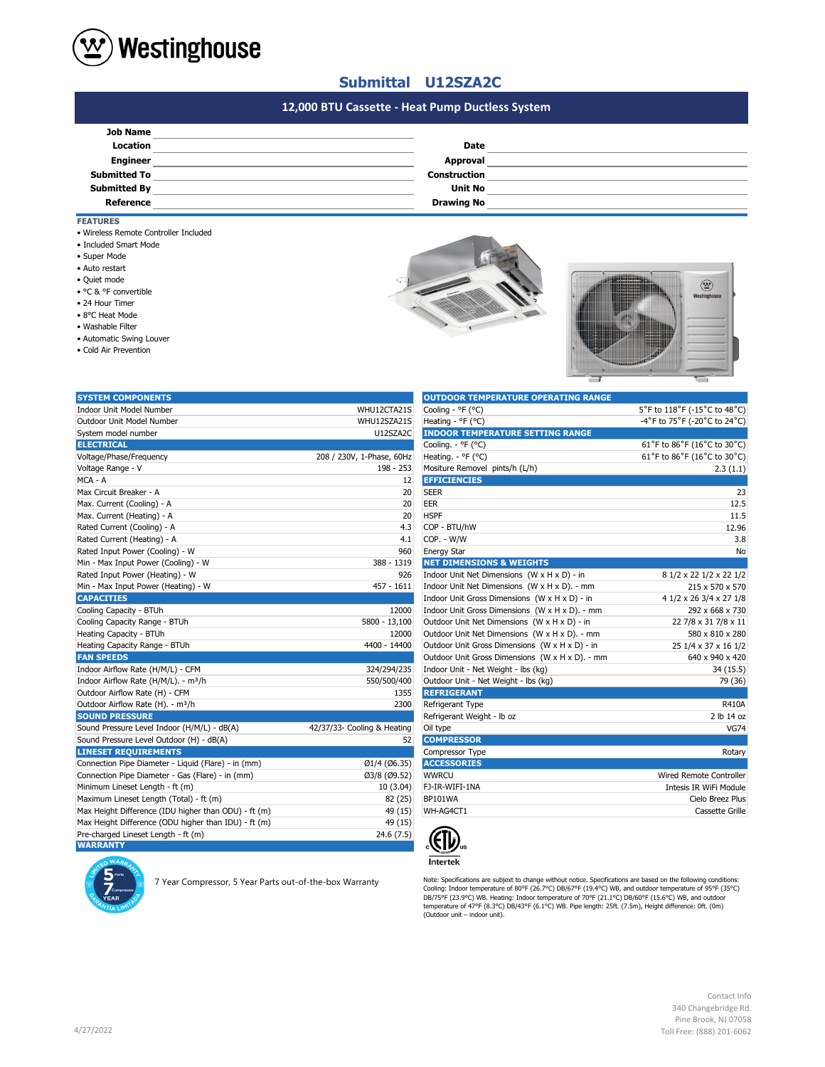

## **Submittal U12SZA2C**

# **#N/A 12,000 BTU Cassette - Heat Pump Ductless System**

| <b>Job Name</b>     |                     |  |
|---------------------|---------------------|--|
| <b>Location</b>     | <b>Date</b>         |  |
| <b>Engineer</b>     | Approval            |  |
| <b>Submitted To</b> | <b>Construction</b> |  |
| <b>Submitted By</b> | <b>Unit No</b>      |  |
| Reference           | <b>Drawing No</b>   |  |
|                     |                     |  |

### **FEATURES**

- Wireless Remote Controller Included
- Included Smart Mode
- Super Mode
- Auto restart
- Quiet mode
- °C & °F convertible
- 24 Hour Timer
- 8°C Heat Mode
- Washable Filter
- Automatic Swing Louver
- Cold Air Prevention





| <b>SYSTEM COMPONENTS</b>                             |                             | <b>OUTDOOR TEMPERATURE OPERATING RANGE</b>      |                              |
|------------------------------------------------------|-----------------------------|-------------------------------------------------|------------------------------|
| <b>Indoor Unit Model Number</b>                      | WHU12CTA21S                 | Cooling - °F (°C)                               | 5°F to 118°F (-15°C to 48°C) |
| Outdoor Unit Model Number                            | WHU12SZA21S                 | Heating - ${}^{\circ}$ F ( ${}^{\circ}$ C)      | -4°F to 75°F (-20°C to 24°C) |
| System model number                                  | U12SZA2C                    | <b>INDOOR TEMPERATURE SETTING RANGE</b>         |                              |
| <b>ELECTRICAL</b>                                    |                             | Cooling. - °F (°C)                              | 61°F to 86°F (16°C to 30°C)  |
| Voltage/Phase/Frequency                              | 208 / 230V, 1-Phase, 60Hz   | Heating. - °F (°C)                              | 61°F to 86°F (16°C to 30°C)  |
| Voltage Range - V                                    | 198 - 253                   | Mositure Removel pints/h (L/h)                  | 2.3(1.1)                     |
| MCA - A                                              | 12                          | <b>EFFICIENCIES</b>                             |                              |
| Max Circuit Breaker - A                              | 20                          | <b>SEER</b>                                     | 23                           |
| Max. Current (Cooling) - A                           | 20                          | <b>EER</b>                                      | 12.5                         |
| Max. Current (Heating) - A                           | 20                          | <b>HSPF</b>                                     | 11.5                         |
| Rated Current (Cooling) - A                          | 4.3                         | COP - BTU/hW                                    | 12.96                        |
| Rated Current (Heating) - A                          | 4.1                         | COP. - W/W                                      | 3.8                          |
| Rated Input Power (Cooling) - W                      | 960                         | <b>Energy Star</b>                              | No                           |
| Min - Max Input Power (Cooling) - W                  | 388 - 1319                  | <b>NET DIMENSIONS &amp; WEIGHTS</b>             |                              |
| Rated Input Power (Heating) - W                      | 926                         | Indoor Unit Net Dimensions (W x H x D) - in     | 8 1/2 x 22 1/2 x 22 1/2      |
| Min - Max Input Power (Heating) - W                  | $457 - 1611$                | Indoor Unit Net Dimensions (W x H x D). - mm    | 215 x 570 x 570              |
| <b>CAPACITIES</b>                                    |                             | Indoor Unit Gross Dimensions (W x H x D) - in   | 4 1/2 x 26 3/4 x 27 1/8      |
| Cooling Capacity - BTUh                              | 12000                       | Indoor Unit Gross Dimensions (W x H x D). - mm  | 292 x 668 x 730              |
| Cooling Capacity Range - BTUh                        | 5800 - 13,100               | Outdoor Unit Net Dimensions (W x H x D) - in    | 22 7/8 x 31 7/8 x 11         |
| Heating Capacity - BTUh                              | 12000                       | Outdoor Unit Net Dimensions (W x H x D). - mm   | 580 x 810 x 280              |
| Heating Capacity Range - BTUh                        | 4400 - 14400                | Outdoor Unit Gross Dimensions (W x H x D) - in  | 25 1/4 x 37 x 16 1/2         |
| <b>FAN SPEEDS</b>                                    |                             | Outdoor Unit Gross Dimensions (W x H x D). - mm | 640 x 940 x 420              |
| Indoor Airflow Rate (H/M/L) - CFM                    | 324/294/235                 | Indoor Unit - Net Weight - lbs (kg)             | 34 (15.5)                    |
| Indoor Airflow Rate (H/M/L). - m <sup>3</sup> /h     | 550/500/400                 | Outdoor Unit - Net Weight - Ibs (kg)            | 79 (36)                      |
| Outdoor Airflow Rate (H) - CFM                       | 1355                        | <b>REFRIGERANT</b>                              |                              |
| Outdoor Airflow Rate (H). - m <sup>3</sup> /h        | 2300                        | Refrigerant Type                                | <b>R410A</b>                 |
| <b>SOUND PRESSURE</b>                                |                             | Refrigerant Weight - Ib oz                      | 2 lb 14 oz                   |
| Sound Pressure Level Indoor (H/M/L) - dB(A)          | 42/37/33- Cooling & Heating | Oil type                                        | <b>VG74</b>                  |
| Sound Pressure Level Outdoor (H) - dB(A)             | 52                          | <b>COMPRESSOR</b>                               |                              |
| <b>LINESET REQUIREMENTS</b>                          |                             | Compressor Type                                 | Rotary                       |
| Connection Pipe Diameter - Liquid (Flare) - in (mm)  | Ø1/4 (Ø6.35)                | <b>ACCESSORIES</b>                              |                              |
| Connection Pipe Diameter - Gas (Flare) - in (mm)     | Ø3/8 (Ø9.52)                | <b>WWRCU</b>                                    | Wired Remote Controller      |
| Minimum Lineset Length - ft (m)                      | 10(3.04)                    | FJ-IR-WIFI-1NA                                  | Intesis IR WiFi Module       |
| Maximum Lineset Length (Total) - ft (m)              | 82 (25)                     | BP101WA                                         | Cielo Breez Plus             |
| Max Height Difference (IDU higher than ODU) - ft (m) | 49 (15)                     | WH-AG4CT1                                       | Cassette Grille              |
| Max Height Difference (ODU higher than IDU) - ft (m) | 49 (15)                     |                                                 |                              |
| Pre-charged Lineset Length - ft (m)                  | 24.6(7.5)                   |                                                 |                              |
| <b>WARRANTY</b>                                      |                             | JI7.                                            |                              |

7 Year Compressor, 5 Year Parts out-of-the-box Warranty

| <b>OUTDOOR TEMPERATURE OPERATING RANGE</b>      |                              |
|-------------------------------------------------|------------------------------|
| Cooling - ${}^{\circ}$ F ( ${}^{\circ}$ C)      | 5°F to 118°F (-15°C to 48°C) |
| Heating - °F (°C)                               | -4°F to 75°F (-20°C to 24°C) |
| <b>INDOOR TEMPERATURE SETTING RANGE</b>         |                              |
| Cooling. - °F (°C)                              | 61°F to 86°F (16°C to 30°C)  |
| Heating. - °F (°C)                              | 61°F to 86°F (16°C to 30°C)  |
| Mositure Removel pints/h (L/h)                  | 2.3(1.1)                     |
| <b>EFFICIENCIES</b>                             |                              |
| <b>SEER</b>                                     | 23                           |
| EER                                             | 12.5                         |
| <b>HSPF</b>                                     | 11.5                         |
| COP - BTU/hW                                    | 12.96                        |
| COP. - W/W                                      | 3.8                          |
| <b>Energy Star</b>                              | No                           |
| <b>NET DIMENSIONS &amp; WEIGHTS</b>             |                              |
| Indoor Unit Net Dimensions (W x H x D) - in     | 8 1/2 x 22 1/2 x 22 1/2      |
| Indoor Unit Net Dimensions (W x H x D). - mm    | 215 x 570 x 570              |
| Indoor Unit Gross Dimensions (W x H x D) - in   | 4 1/2 x 26 3/4 x 27 1/8      |
| Indoor Unit Gross Dimensions (W x H x D). - mm  | 292 x 668 x 730              |
| Outdoor Unit Net Dimensions (W x H x D) - in    | 22 7/8 x 31 7/8 x 11         |
| Outdoor Unit Net Dimensions (W x H x D). - mm   | 580 x 810 x 280              |
| Outdoor Unit Gross Dimensions (W x H x D) - in  | 25 1/4 x 37 x 16 1/2         |
| Outdoor Unit Gross Dimensions (W x H x D). - mm | 640 x 940 x 420              |
| Indoor Unit - Net Weight - lbs (kg)             | 34(15.5)                     |
| Outdoor Unit - Net Weight - Ibs (kg)            | 79 (36)                      |
| <b>REFRIGERANT</b>                              |                              |
| Refrigerant Type                                | R410A                        |
| Refrigerant Weight - Ib oz                      | 2 lb 14 oz                   |
| Oil type                                        | <b>VG74</b>                  |
| <b>COMPRESSOR</b>                               |                              |
| Compressor Type                                 | Rotary                       |
| <b>ACCESSORIES</b>                              |                              |
| <b>WWRCU</b>                                    | Wired Remote Controller      |
| FJ-IR-WIFI-1NA                                  | Intesis IR WiFi Module       |
| <b>BP101WA</b>                                  | Cielo Breez Plus             |
| WH-AG4CT1                                       | Cassette Grille              |
|                                                 |                              |



Note: Specifications are subjext to change without notice. Specifications are based on the following conditions:<br>Cooling: Indoor temperature of 80°F (26.7°C) DB/67°F (19.4°C) WB, and outdoor temperature of 95°F (35°C)<br>DB/7

Contact Info 340 Changebridge Rd. Pine Brook, NJ 07058 Toll Free: (888) 201-6062